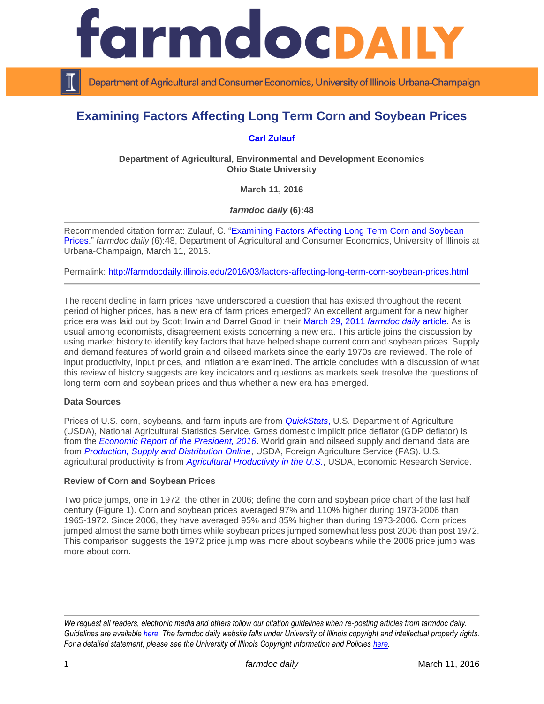

Department of Agricultural and Consumer Economics, University of Illinois Urbana-Champaign

# **Examining Factors Affecting Long Term Corn and Soybean Prices**

## **[Carl Zulauf](http://aede.osu.edu/our-people/carl-zulauf)**

**Department of Agricultural, Environmental and Development Economics Ohio State University**

**March 11, 2016**

*farmdoc daily* **(6):48**

Recommended citation format: Zulauf, C. ["Examining Factors Affecting Long Term Corn and Soybean](http://farmdocdaily.illinois.edu/2016/03/factors-affecting-long-term-corn-soybean-prices.html)  [Prices.](http://farmdocdaily.illinois.edu/2016/03/factors-affecting-long-term-corn-soybean-prices.html)" *farmdoc daily* (6):48, Department of Agricultural and Consumer Economics, University of Illinois at Urbana-Champaign, March 11, 2016.

Permalink: <http://farmdocdaily.illinois.edu/2016/03/factors-affecting-long-term-corn-soybean-prices.html>

The recent decline in farm prices have underscored a question that has existed throughout the recent period of higher prices, has a new era of farm prices emerged? An excellent argument for a new higher price era was laid out by Scott Irwin and Darrel Good in their [March 29, 2011](http://farmdocdaily.illinois.edu/2011/03/a-new-era-in-crop-prices.html) *farmdoc daily* article. As is usual among economists, disagreement exists concerning a new era. This article joins the discussion by using market history to identify key factors that have helped shape current corn and soybean prices. Supply and demand features of world grain and oilseed markets since the early 1970s are reviewed. The role of input productivity, input prices, and inflation are examined. The article concludes with a discussion of what this review of history suggests are key indicators and questions as markets seek tresolve the questions of long term corn and soybean prices and thus whether a new era has emerged.

#### **Data Sources**

Prices of U.S. corn, soybeans, and farm inputs are from *[QuickStats](http://quickstats.nass.usda.gov/)*, U.S. Department of Agriculture (USDA), National Agricultural Statistics Service. Gross domestic implicit price deflator (GDP deflator) is from the *[Economic Report of the President, 2016](https://www.gpo.gov/fdsys/browse/collection.action?collectionCode=ERP)*. World grain and oilseed supply and demand data are from *[Production, Supply and Distribution Online](https://apps.fas.usda.gov/psdonline/psdHome.aspx)*, USDA, Foreign Agriculture Service (FAS). U.S. agricultural productivity is from *[Agricultural Productivity in the U.S.](http://www.ers.usda.gov/data-products/agricultural-productivity-in-the-us.aspx)*, USDA, Economic Research Service.

#### **Review of Corn and Soybean Prices**

Two price jumps, one in 1972, the other in 2006; define the corn and soybean price chart of the last half century (Figure 1). Corn and soybean prices averaged 97% and 110% higher during 1973-2006 than 1965-1972. Since 2006, they have averaged 95% and 85% higher than during 1973-2006. Corn prices jumped almost the same both times while soybean prices jumped somewhat less post 2006 than post 1972. This comparison suggests the 1972 price jump was more about soybeans while the 2006 price jump was more about corn.

*We request all readers, electronic media and others follow our citation guidelines when re-posting articles from farmdoc daily. Guidelines are available [here.](http://farmdocdaily.illinois.edu/citationguide.html) The farmdoc daily website falls under University of Illinois copyright and intellectual property rights. For a detailed statement, please see the University of Illinois Copyright Information and Policies [here.](http://www.cio.illinois.edu/policies/copyright/)*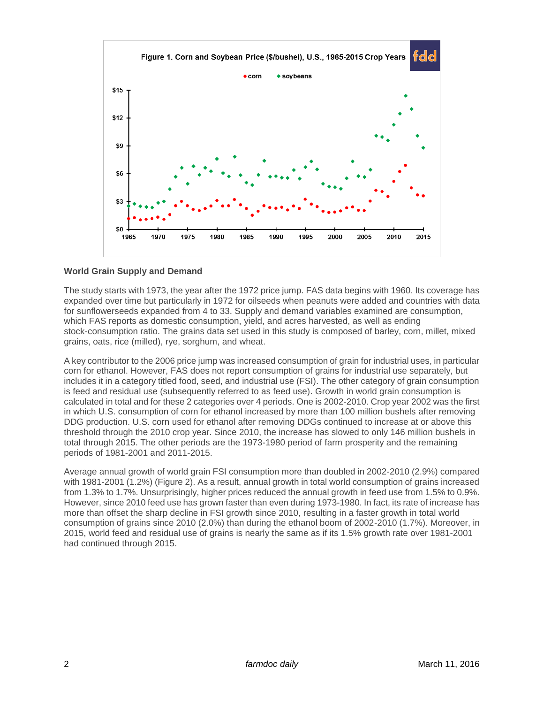

## **World Grain Supply and Demand**

The study starts with 1973, the year after the 1972 price jump. FAS data begins with 1960. Its coverage has expanded over time but particularly in 1972 for oilseeds when peanuts were added and countries with data for sunflowerseeds expanded from 4 to 33. Supply and demand variables examined are consumption, which FAS reports as domestic consumption, yield, and acres harvested, as well as ending stock-consumption ratio. The grains data set used in this study is composed of barley, corn, millet, mixed grains, oats, rice (milled), rye, sorghum, and wheat.

A key contributor to the 2006 price jump was increased consumption of grain for industrial uses, in particular corn for ethanol. However, FAS does not report consumption of grains for industrial use separately, but includes it in a category titled food, seed, and industrial use (FSI). The other category of grain consumption is feed and residual use (subsequently referred to as feed use). Growth in world grain consumption is calculated in total and for these 2 categories over 4 periods. One is 2002-2010. Crop year 2002 was the first in which U.S. consumption of corn for ethanol increased by more than 100 million bushels after removing DDG production. U.S. corn used for ethanol after removing DDGs continued to increase at or above this threshold through the 2010 crop year. Since 2010, the increase has slowed to only 146 million bushels in total through 2015. The other periods are the 1973-1980 period of farm prosperity and the remaining periods of 1981-2001 and 2011-2015.

Average annual growth of world grain FSI consumption more than doubled in 2002-2010 (2.9%) compared with 1981-2001 (1.2%) (Figure 2). As a result, annual growth in total world consumption of grains increased from 1.3% to 1.7%. Unsurprisingly, higher prices reduced the annual growth in feed use from 1.5% to 0.9%. However, since 2010 feed use has grown faster than even during 1973-1980. In fact, its rate of increase has more than offset the sharp decline in FSI growth since 2010, resulting in a faster growth in total world consumption of grains since 2010 (2.0%) than during the ethanol boom of 2002-2010 (1.7%). Moreover, in 2015, world feed and residual use of grains is nearly the same as if its 1.5% growth rate over 1981-2001 had continued through 2015.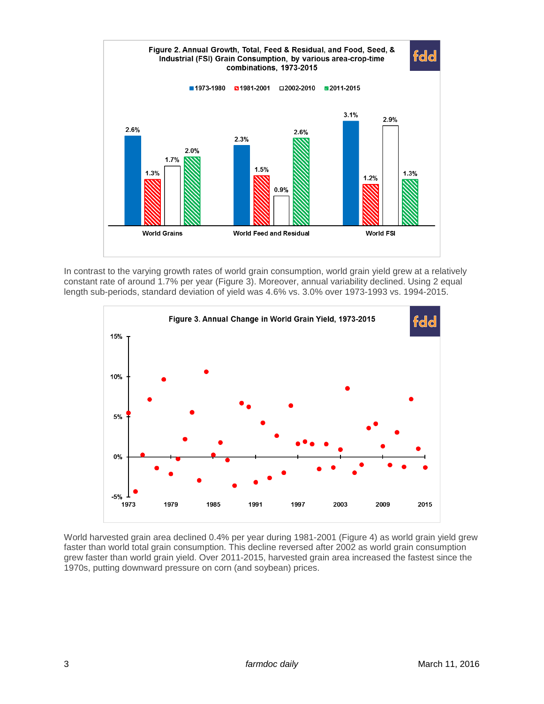

In contrast to the varying growth rates of world grain consumption, world grain yield grew at a relatively constant rate of around 1.7% per year (Figure 3). Moreover, annual variability declined. Using 2 equal length sub-periods, standard deviation of yield was 4.6% vs. 3.0% over 1973-1993 vs. 1994-2015.



World harvested grain area declined 0.4% per year during 1981-2001 (Figure 4) as world grain yield grew faster than world total grain consumption. This decline reversed after 2002 as world grain consumption grew faster than world grain yield. Over 2011-2015, harvested grain area increased the fastest since the 1970s, putting downward pressure on corn (and soybean) prices.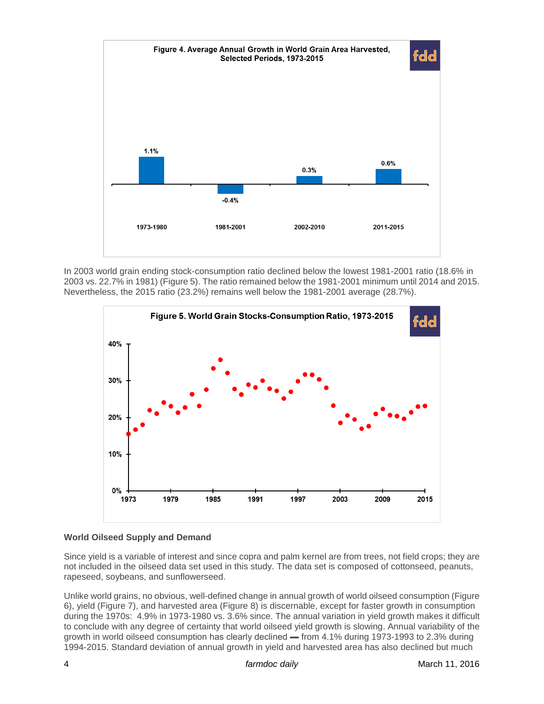

In 2003 world grain ending stock-consumption ratio declined below the lowest 1981-2001 ratio (18.6% in 2003 vs. 22.7% in 1981) (Figure 5). The ratio remained below the 1981-2001 minimum until 2014 and 2015. Nevertheless, the 2015 ratio (23.2%) remains well below the 1981-2001 average (28.7%).



## **World Oilseed Supply and Demand**

Since yield is a variable of interest and since copra and palm kernel are from trees, not field crops; they are not included in the oilseed data set used in this study. The data set is composed of cottonseed, peanuts, rapeseed, soybeans, and sunflowerseed.

Unlike world grains, no obvious, well-defined change in annual growth of world oilseed consumption (Figure 6), yield (Figure 7), and harvested area (Figure 8) is discernable, except for faster growth in consumption during the 1970s: 4.9% in 1973-1980 vs. 3.6% since. The annual variation in yield growth makes it difficult to conclude with any degree of certainty that world oilseed yield growth is slowing. Annual variability of the growth in world oilseed consumption has clearly declined — from 4.1% during 1973-1993 to 2.3% during 1994-2015. Standard deviation of annual growth in yield and harvested area has also declined but much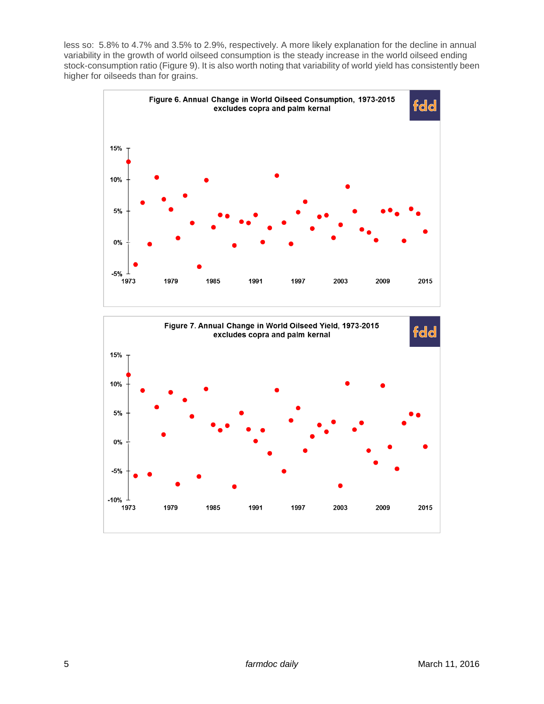less so: 5.8% to 4.7% and 3.5% to 2.9%, respectively. A more likely explanation for the decline in annual variability in the growth of world oilseed consumption is the steady increase in the world oilseed ending stock-consumption ratio (Figure 9). It is also worth noting that variability of world yield has consistently been higher for oilseeds than for grains.



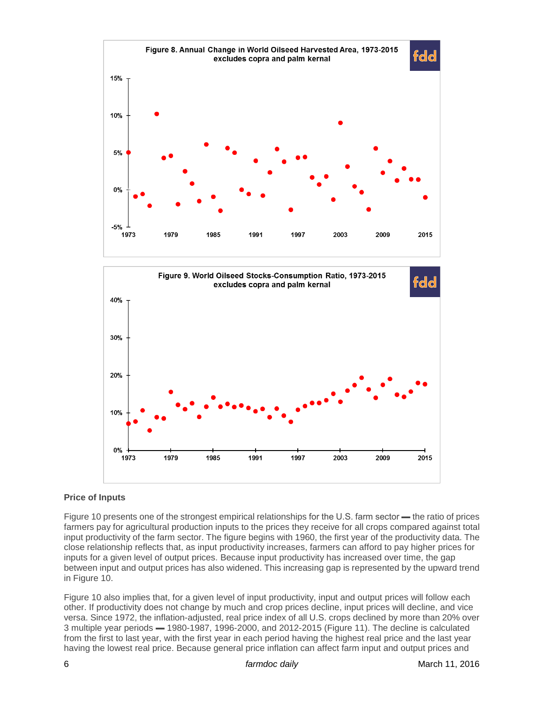



## **Price of Inputs**

Figure 10 presents one of the strongest empirical relationships for the U.S. farm sector — the ratio of prices farmers pay for agricultural production inputs to the prices they receive for all crops compared against total input productivity of the farm sector. The figure begins with 1960, the first year of the productivity data. The close relationship reflects that, as input productivity increases, farmers can afford to pay higher prices for inputs for a given level of output prices. Because input productivity has increased over time, the gap between input and output prices has also widened. This increasing gap is represented by the upward trend in Figure 10.

Figure 10 also implies that, for a given level of input productivity, input and output prices will follow each other. If productivity does not change by much and crop prices decline, input prices will decline, and vice versa. Since 1972, the inflation-adjusted, real price index of all U.S. crops declined by more than 20% over 3 multiple year periods ▬ 1980-1987, 1996-2000, and 2012-2015 (Figure 11). The decline is calculated from the first to last year, with the first year in each period having the highest real price and the last year having the lowest real price. Because general price inflation can affect farm input and output prices and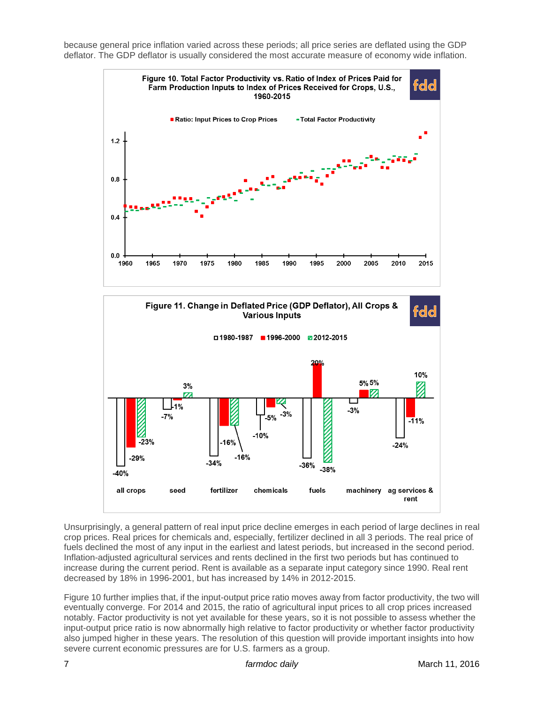because general price inflation varied across these periods; all price series are deflated using the GDP deflator. The GDP deflator is usually considered the most accurate measure of economy wide inflation.





Unsurprisingly, a general pattern of real input price decline emerges in each period of large declines in real crop prices. Real prices for chemicals and, especially, fertilizer declined in all 3 periods. The real price of fuels declined the most of any input in the earliest and latest periods, but increased in the second period. Inflation-adjusted agricultural services and rents declined in the first two periods but has continued to increase during the current period. Rent is available as a separate input category since 1990. Real rent decreased by 18% in 1996-2001, but has increased by 14% in 2012-2015.

Figure 10 further implies that, if the input-output price ratio moves away from factor productivity, the two will eventually converge. For 2014 and 2015, the ratio of agricultural input prices to all crop prices increased notably. Factor productivity is not yet available for these years, so it is not possible to assess whether the input-output price ratio is now abnormally high relative to factor productivity or whether factor productivity also jumped higher in these years. The resolution of this question will provide important insights into how severe current economic pressures are for U.S. farmers as a group.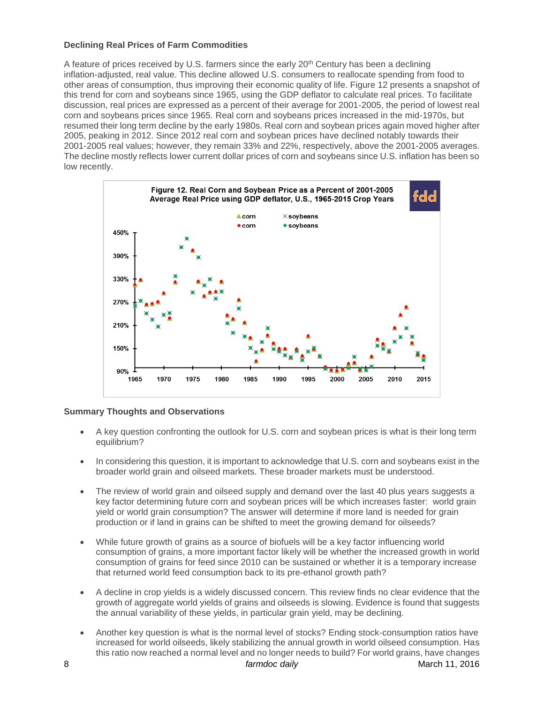#### **Declining Real Prices of Farm Commodities**

A feature of prices received by U.S. farmers since the early 20th Century has been a declining inflation-adjusted, real value. This decline allowed U.S. consumers to reallocate spending from food to other areas of consumption, thus improving their economic quality of life. Figure 12 presents a snapshot of this trend for corn and soybeans since 1965, using the GDP deflator to calculate real prices. To facilitate discussion, real prices are expressed as a percent of their average for 2001-2005, the period of lowest real corn and soybeans prices since 1965. Real corn and soybeans prices increased in the mid-1970s, but resumed their long term decline by the early 1980s. Real corn and soybean prices again moved higher after 2005, peaking in 2012. Since 2012 real corn and soybean prices have declined notably towards their 2001-2005 real values; however, they remain 33% and 22%, respectively, above the 2001-2005 averages. The decline mostly reflects lower current dollar prices of corn and soybeans since U.S. inflation has been so low recently.



## **Summary Thoughts and Observations**

- A key question confronting the outlook for U.S. corn and soybean prices is what is their long term equilibrium?
- In considering this question, it is important to acknowledge that U.S. corn and soybeans exist in the broader world grain and oilseed markets. These broader markets must be understood.
- The review of world grain and oilseed supply and demand over the last 40 plus years suggests a key factor determining future corn and soybean prices will be which increases faster: world grain yield or world grain consumption? The answer will determine if more land is needed for grain production or if land in grains can be shifted to meet the growing demand for oilseeds?
- While future growth of grains as a source of biofuels will be a key factor influencing world consumption of grains, a more important factor likely will be whether the increased growth in world consumption of grains for feed since 2010 can be sustained or whether it is a temporary increase that returned world feed consumption back to its pre-ethanol growth path?
- A decline in crop yields is a widely discussed concern. This review finds no clear evidence that the growth of aggregate world yields of grains and oilseeds is slowing. Evidence is found that suggests the annual variability of these yields, in particular grain yield, may be declining.
- Another key question is what is the normal level of stocks? Ending stock-consumption ratios have increased for world oilseeds, likely stabilizing the annual growth in world oilseed consumption. Has this ratio now reached a normal level and no longer needs to build? For world grains, have changes